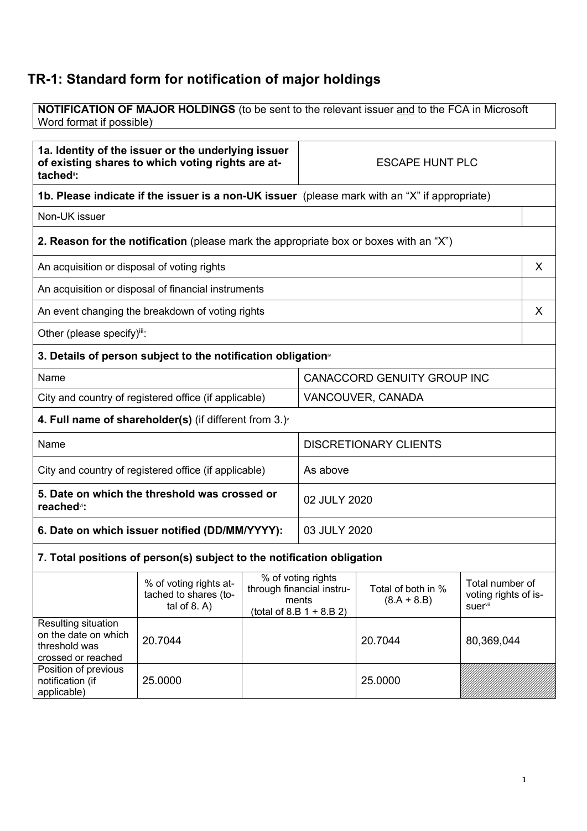## **TR-1: Standard form for notification of major holdings**

**NOTIFICATION OF MAJOR HOLDINGS** (to be sent to the relevant issuer and to the FCA in Microsoft Word format if possible)

| 1a. Identity of the issuer or the underlying issuer<br>of existing shares to which voting rights are at-<br>tached <sup>"</sup> : |                                                                                               | <b>ESCAPE HUNT PLC</b> |                                                                                         |                                     |                                                            |
|-----------------------------------------------------------------------------------------------------------------------------------|-----------------------------------------------------------------------------------------------|------------------------|-----------------------------------------------------------------------------------------|-------------------------------------|------------------------------------------------------------|
|                                                                                                                                   | 1b. Please indicate if the issuer is a non-UK issuer (please mark with an "X" if appropriate) |                        |                                                                                         |                                     |                                                            |
| Non-UK issuer                                                                                                                     |                                                                                               |                        |                                                                                         |                                     |                                                            |
|                                                                                                                                   | 2. Reason for the notification (please mark the appropriate box or boxes with an "X")         |                        |                                                                                         |                                     |                                                            |
| An acquisition or disposal of voting rights                                                                                       |                                                                                               |                        |                                                                                         |                                     | X.                                                         |
|                                                                                                                                   | An acquisition or disposal of financial instruments                                           |                        |                                                                                         |                                     |                                                            |
|                                                                                                                                   | An event changing the breakdown of voting rights                                              |                        |                                                                                         |                                     | X                                                          |
| Other (please specify)iii:                                                                                                        |                                                                                               |                        |                                                                                         |                                     |                                                            |
|                                                                                                                                   | 3. Details of person subject to the notification obligation <sup>®</sup>                      |                        |                                                                                         |                                     |                                                            |
| Name                                                                                                                              |                                                                                               |                        | CANACCORD GENUITY GROUP INC                                                             |                                     |                                                            |
| City and country of registered office (if applicable)                                                                             |                                                                                               |                        | VANCOUVER, CANADA                                                                       |                                     |                                                            |
|                                                                                                                                   | 4. Full name of shareholder(s) (if different from $3.$ ) $\sqrt{ }$                           |                        |                                                                                         |                                     |                                                            |
| Name                                                                                                                              |                                                                                               |                        |                                                                                         | <b>DISCRETIONARY CLIENTS</b>        |                                                            |
| City and country of registered office (if applicable)                                                                             |                                                                                               |                        | As above                                                                                |                                     |                                                            |
| 5. Date on which the threshold was crossed or<br>reached <sup>vi</sup> :                                                          |                                                                                               |                        | 02 JULY 2020                                                                            |                                     |                                                            |
| 6. Date on which issuer notified (DD/MM/YYYY):                                                                                    |                                                                                               |                        | 03 JULY 2020                                                                            |                                     |                                                            |
|                                                                                                                                   | 7. Total positions of person(s) subject to the notification obligation                        |                        |                                                                                         |                                     |                                                            |
|                                                                                                                                   | % of voting rights at-<br>tached to shares (to-<br>tal of $8. A$ )                            |                        | % of voting rights<br>through financial instru-<br>ments<br>(total of 8.B $1 + 8.B 2$ ) | Total of both in %<br>$(8.A + 8.B)$ | Total number of<br>voting rights of is-<br><b>suer</b> vii |
| Resulting situation<br>on tho doto on which                                                                                       |                                                                                               |                        |                                                                                         |                                     |                                                            |

| on the date on which<br>threshold was<br>crossed or reached | 20.7044 | 20.7044 | 80,369,044 |
|-------------------------------------------------------------|---------|---------|------------|
| Position of previous<br>notification (if<br>applicable)     | 25.0000 | 25.0000 |            |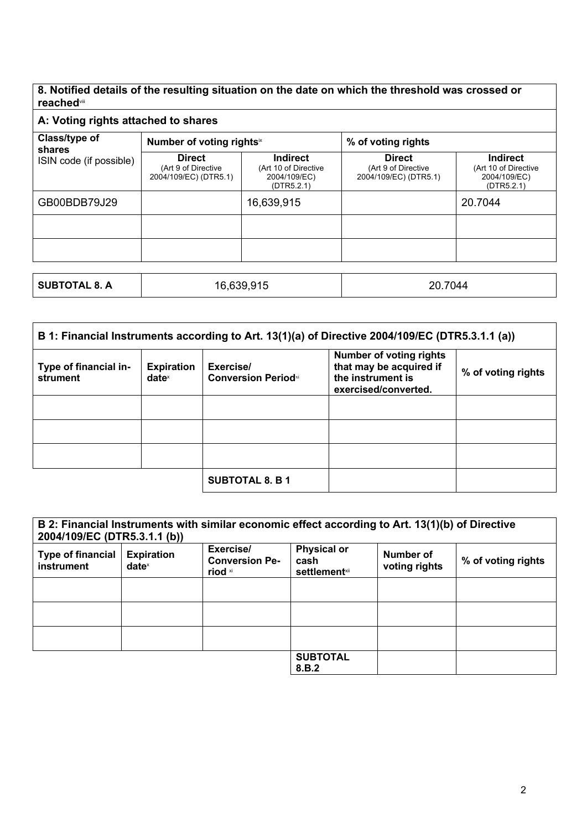## **8. Notified details of the resulting situation on the date on which the threshold was crossed or reached**viii

| A: Voting rights attached to shares |                                                               |                                                                       |                                                               |                                                                       |
|-------------------------------------|---------------------------------------------------------------|-----------------------------------------------------------------------|---------------------------------------------------------------|-----------------------------------------------------------------------|
| Class/type of<br>shares             | Number of voting rightsix                                     |                                                                       | % of voting rights                                            |                                                                       |
| ISIN code (if possible)             | <b>Direct</b><br>(Art 9 of Directive<br>2004/109/EC) (DTR5.1) | <b>Indirect</b><br>(Art 10 of Directive<br>2004/109/EC)<br>(DTR5.2.1) | <b>Direct</b><br>(Art 9 of Directive<br>2004/109/EC) (DTR5.1) | <b>Indirect</b><br>(Art 10 of Directive<br>2004/109/EC)<br>(DTR5.2.1) |
| GB00BDB79J29                        |                                                               | 16,639,915                                                            |                                                               | 20.7044                                                               |
|                                     |                                                               |                                                                       |                                                               |                                                                       |
|                                     |                                                               |                                                                       |                                                               |                                                                       |
|                                     |                                                               |                                                                       |                                                               |                                                                       |
| <b>SUBTOTAL 8. A</b>                |                                                               | 16,639,915                                                            | 20.7044                                                       |                                                                       |

| B 1: Financial Instruments according to Art. 13(1)(a) of Directive 2004/109/EC (DTR5.3.1.1 (a)) |                                        |                                         |                                                                                                        |                    |
|-------------------------------------------------------------------------------------------------|----------------------------------------|-----------------------------------------|--------------------------------------------------------------------------------------------------------|--------------------|
| Type of financial in-<br>strument                                                               | <b>Expiration</b><br>date <sup>x</sup> | Exercise/<br><b>Conversion Periodxi</b> | <b>Number of voting rights</b><br>that may be acquired if<br>the instrument is<br>exercised/converted. | % of voting rights |
|                                                                                                 |                                        |                                         |                                                                                                        |                    |
|                                                                                                 |                                        |                                         |                                                                                                        |                    |
|                                                                                                 |                                        |                                         |                                                                                                        |                    |
|                                                                                                 |                                        | <b>SUBTOTAL 8. B 1</b>                  |                                                                                                        |                    |

|                                        | B 2: Financial Instruments with similar economic effect according to Art. 13(1)(b) of Directive<br>2004/109/EC (DTR5.3.1.1 (b)) |                                               |                                                     |                            |                    |
|----------------------------------------|---------------------------------------------------------------------------------------------------------------------------------|-----------------------------------------------|-----------------------------------------------------|----------------------------|--------------------|
| <b>Type of financial</b><br>instrument | <b>Expiration</b><br>$date^x$                                                                                                   | Exercise/<br><b>Conversion Pe-</b><br>riod xi | <b>Physical or</b><br>cash<br><b>settlement</b> xii | Number of<br>voting rights | % of voting rights |
|                                        |                                                                                                                                 |                                               |                                                     |                            |                    |
|                                        |                                                                                                                                 |                                               |                                                     |                            |                    |
|                                        |                                                                                                                                 |                                               |                                                     |                            |                    |
|                                        |                                                                                                                                 |                                               | <b>SUBTOTAL</b><br>8.B.2                            |                            |                    |